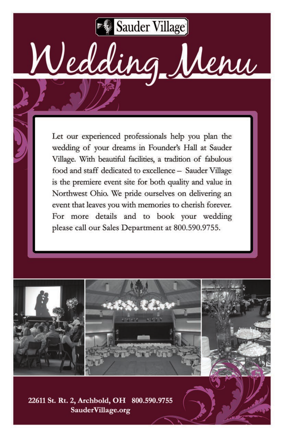Sauder Village

Wedding Menu

Let our experienced professionals help you plan the wedding of your dreams in Founder's Hall at Sauder Village. With beautiful facilities, a tradition of fabulous food and staff dedicated to excellence - Sauder Village is the premiere event site for both quality and value in Northwest Ohio. We pride ourselves on delivering an event that leaves you with memories to cherish forever. For more details and to book your wedding please call our Sales Department at 800.590.9755.







22611 St. Rt. 2, Archbold, OH 800.590.9755 SauderVillage.org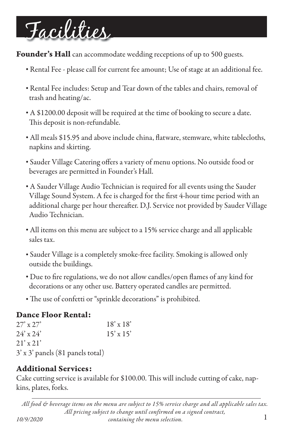# Facilities

**Founder's Hall** can accommodate wedding receptions of up to 500 guests.

- Rental Fee please call for current fee amount; Use of stage at an additional fee.
- Rental Fee includes: Setup and Tear down of the tables and chairs, removal of trash and heating/ac.
- A \$1200.00 deposit will be required at the time of booking to secure a date. This deposit is non-refundable.
- All meals \$15.95 and above include china, flatware, stemware, white tablecloths, napkins and skirting.
- Sauder Village Catering offers a variety of menu options. No outside food or beverages are permitted in Founder's Hall.
- A Sauder Village Audio Technician is required for all events using the Sauder Village Sound System. A fee is charged for the first 4-hour time period with an additional charge per hour thereafter. D.J. Service not provided by Sauder Village Audio Technician.
- All items on this menu are subject to a 15% service charge and all applicable sales tax.
- Sauder Village is a completely smoke-free facility. Smoking is allowed only outside the buildings.
- Due to fire regulations, we do not allow candles/open flames of any kind for decorations or any other use. Battery operated candles are permitted.
- The use of confetti or "sprinkle decorations" is prohibited.

### Dance Floor Rental:

| $27'$ x $27'$                    | $18' \times 18'$ |
|----------------------------------|------------------|
| $24' \times 24'$                 | $15' \times 15'$ |
| $21' \times 21'$                 |                  |
| 3' x 3' panels (81 panels total) |                  |

## Additional Services:

Cake cutting service is available for \$100.00. This will include cutting of cake, napkins, plates, forks.

1 *All food & beverage items on the menu are subject to 15% service charge and all applicable sales tax. All pricing subject to change until confirmed on a signed contract, 10/9/2020 containing the menu selection.*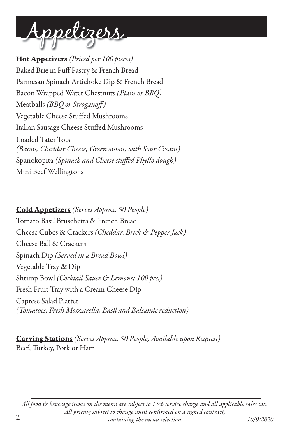

Hot Appetizers *(Priced per 100 pieces)* Baked Brie in Puff Pastry & French Bread Parmesan Spinach Artichoke Dip & French Bread Bacon Wrapped Water Chestnuts *(Plain or BBQ)* Meatballs *(BBQ or Stroganoff)* Vegetable Cheese Stuffed Mushrooms Italian Sausage Cheese Stuffed Mushrooms Loaded Tater Tots *(Bacon, Cheddar Cheese, Green onion, with Sour Cream)* Spanokopita (Spinach and Cheese stuffed Phyllo dough) Mini Beef Wellingtons

Cold Appetizers *(Serves Approx. 50 People)* Tomato Basil Bruschetta & French Bread Cheese Cubes & Crackers *(Cheddar, Brick & Pepper Jack)* Cheese Ball & Crackers Spinach Dip *(Served in a Bread Bowl)* Vegetable Tray & Dip Shrimp Bowl *(Cocktail Sauce & Lemons; 100 pcs.)* Fresh Fruit Tray with a Cream Cheese Dip Caprese Salad Platter *(Tomatoes, Fresh Mozzarella, Basil and Balsamic reduction)*

Carving Stations *(Serves Approx. 50 People, Available upon Request)* Beef, Turkey, Pork or Ham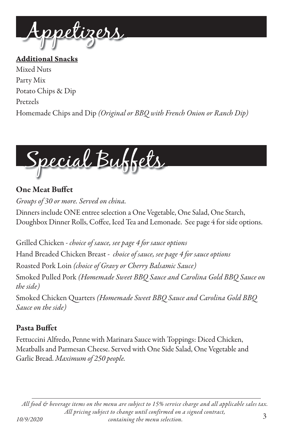

Additional Snacks Mixed Nuts Party Mix Potato Chips & Dip Pretzels Homemade Chips and Dip *(Original or BBQ with French Onion or Ranch Dip)* 



## **One Meat Buffet**

*Groups of 30 or more. Served on china.*

Dinners include ONE entree selection a One Vegetable, One Salad, One Starch, Doughbox Dinner Rolls, Coffee, Iced Tea and Lemonade. See page 4 for side options.

Grilled Chicken - *choice of sauce, see page 4 for sauce options* Hand Breaded Chicken Breast - *choice of sauce, see page 4 for sauce options* Roasted Pork Loin *(choice of Gravy or Cherry Balsamic Sauce)* Smoked Pulled Pork *(Homemade Sweet BBQ Sauce and Carolina Gold BBQ Sauce on the side)*

Smoked Chicken Quarters *(Homemade Sweet BBQ Sauce and Carolina Gold BBQ Sauce on the side)*

## Pasta Buffet

Fettuccini Alfredo, Penne with Marinara Sauce with Toppings: Diced Chicken, Meatballs and Parmesan Cheese. Served with One Side Salad, One Vegetable and Garlic Bread. *Maximum of 250 people.*

*All food & beverage items on the menu are subject to 15% service charge and all applicable sales tax. All pricing subject to change until confirmed on a signed contract, 10/9/2020 containing the menu selection.* 3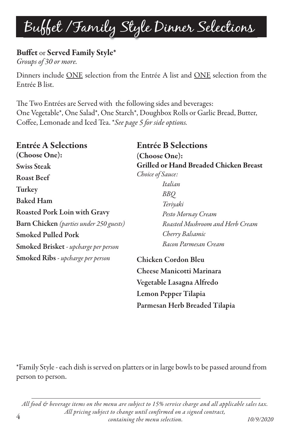## Buffet /Family Style Dinner Selections

## Buffet or Served Family Style\*

*Groups of 30 or more.*

Dinners include ONE selection from the Entrée A list and ONE selection from the Entrée B list.

The Two Entrées are Served with the following sides and beverages: One Vegetable\*, One Salad\*, One Starch\*, Doughbox Rolls or Garlic Bread, Butter, Coffee, Lemonade and Iced Tea. *\*See page 5 for side options*.

## Entrée A Selections

(Choose One): Swiss Steak Roast Beef Turkey Baked Ham Roasted Pork Loin with Gravy Barn Chicken *(parties under 250 guests)* Smoked Pulled Pork Smoked Brisket *- upcharge per person* Smoked Ribs *- upcharge per person*

### Entrée B Selections

(Choose One): Grilled or Hand Breaded Chicken Breast *Choice of Sauce:* 

> *Italian BBQ Teriyaki Pesto Mornay Cream Roasted Mushroom and Herb Cream Cherry Balsamic Bacon Parmesan Cream*

Chicken Cordon Bleu Cheese Manicotti Marinara Vegetable Lasagna Alfredo Lemon Pepper Tilapia Parmesan Herb Breaded Tilapia

\*Family Style - each dish is served on platters or in large bowls to be passed around from person to person.

*All food & beverage items on the menu are subject to 15% service charge and all applicable sales tax. All pricing subject to change until confirmed on a signed contract, containing the menu selection. 10/9/2020* 4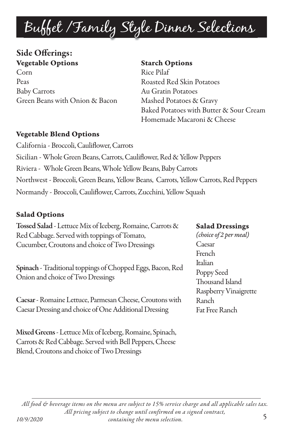## Buffet /Family Style Dinner Selections

## Side Offerings: Vegetable Options

Corn Peas Baby Carrots Green Beans with Onion & Bacon

#### Starch Options

Rice Pilaf Roasted Red Skin Potatoes Au Gratin Potatoes Mashed Potatoes & Gravy Baked Potatoes with Butter & Sour Cream Homemade Macaroni & Cheese

#### Vegetable Blend Options

California - Broccoli, Cauliflower, Carrots Sicilian - Whole Green Beans, Carrots, Cauliflower, Red & Yellow Peppers Riviera - Whole Green Beans, Whole Yellow Beans, Baby Carrots Northwest - Broccoli, Green Beans, Yellow Beans, Carrots, Yellow Carrots, Red Peppers Normandy - Broccoli, Cauliflower, Carrots, Zucchini, Yellow Squash

#### Salad Options

Tossed Salad - Lettuce Mix of Iceberg, Romaine, Carrots & Red Cabbage. Served with toppings of Tomato, Cucumber, Croutons and choice of Two Dressings

Spinach - Traditional toppings of Chopped Eggs, Bacon, Red Onion and choice of Two Dressings

Caesar - Romaine Lettuce, Parmesan Cheese, Croutons with Caesar Dressing and choice of One Additional Dressing

Mixed Greens - Lettuce Mix of Iceberg, Romaine, Spinach, Carrots & Red Cabbage. Served with Bell Peppers, Cheese Blend, Croutons and choice of Two Dressings

#### Salad Dressings

*(choice of 2 per meal)* Caesar **French** Italian Poppy Seed Thousand Island Raspberry Vinaigrette Ranch Fat Free Ranch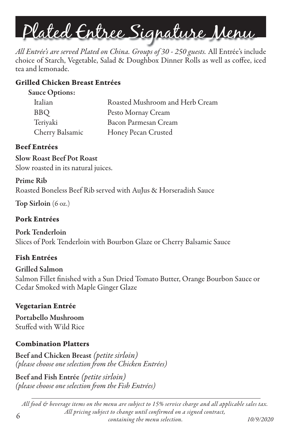

*All Entrée's are served Plated on China. Groups of 30 - 250 guests.* All Entrée's include choice of Starch, Vegetable, Salad & Doughbox Dinner Rolls as well as coffee, iced tea and lemonade.

#### Grilled Chicken Breast Entrées

| Italian         | Roasted Mushroom and Herb Cream |
|-----------------|---------------------------------|
| <b>BBQ</b>      | Pesto Mornay Cream              |
| Teriyaki        | Bacon Parmesan Cream            |
| Cherry Balsamic | Honey Pecan Crusted             |

#### Beef Entrées

Slow Roast Beef Pot Roast Slow roasted in its natural juices.

#### Prime Rib

Roasted Boneless Beef Rib served with AuJus & Horseradish Sauce

Top Sirloin (6 oz.)

#### Pork Entrées

Pork Tenderloin Slices of Pork Tenderloin with Bourbon Glaze or Cherry Balsamic Sauce

#### Fish Entrées

Grilled Salmon Salmon Fillet finished with a Sun Dried Tomato Butter, Orange Bourbon Sauce or Cedar Smoked with Maple Ginger Glaze

#### Vegetarian Entrée

Portabello Mushroom Stuffed with Wild Rice

#### Combination Platters

Beef and Chicken Breast *(petite sirloin) (please choose one selection from the Chicken Entrées)* 

Beef and Fish Entrée *(petite sirloin) (please choose one selection from the Fish Entrées)* 

*All food & beverage items on the menu are subject to 15% service charge and all applicable sales tax. All pricing subject to change until confirmed on a signed contract, containing the menu selection. 10/9/2020* 6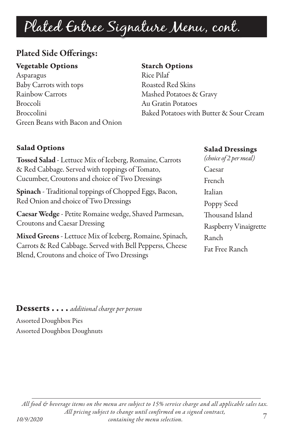## Plated Entree Signature Menu, cont.

## Plated Side Offerings:

#### Vegetable Options

Asparagus Baby Carrots with tops Rainbow Carrots Broccoli Broccolini Green Beans with Bacon and Onion

#### Starch Options

Rice Pilaf Roasted Red Skins Mashed Potatoes & Gravy Au Gratin Potatoes Baked Potatoes with Butter & Sour Cream

### Salad Options

Tossed Salad - Lettuce Mix of Iceberg, Romaine, Carrots & Red Cabbage. Served with toppings of Tomato, Cucumber, Croutons and choice of Two Dressings

Spinach - Traditional toppings of Chopped Eggs, Bacon, Red Onion and choice of Two Dressings

Caesar Wedge - Petite Romaine wedge, Shaved Parmesan, Croutons and Caesar Dressing

Mixed Greens - Lettuce Mix of Iceberg, Romaine, Spinach, Carrots & Red Cabbage. Served with Bell Pepperss, Cheese Blend, Croutons and choice of Two Dressings

#### Salad Dressings

*(choice of 2 per meal)* Caesar French Italian Poppy Seed Thousand Island Raspberry Vinaigrette Ranch Fat Free Ranch

#### Desserts . . . . *additional charge per person*

Assorted Doughbox Pies Assorted Doughbox Doughnuts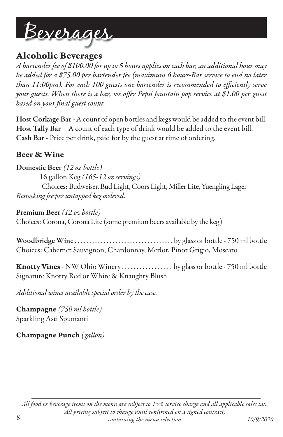

## Alcoholic Beverages

*A bartender fee of \$100.00 for up to 5 hours applies on each bar, an additional hour may be added for a \$75.00 per bartender fee (maximum 6 hours-Bar service to end no later*  than 11:00pm). For each 100 guests one bartender is recommended to efficiently serve *your guests. When there is a bar, we offer Pepsi fountain pop service at \$1.00 per guest* based on your final guest count.

Host Corkage Bar - A count of open bottles and kegs would be added to the event bill. Host Tally Bar – A count of each type of drink would be added to the event bill. Cash Bar - Price per drink, paid for by the guest at time of ordering.

#### Beer & Wine

Domestic Beer *(12 oz bottle)* 16 gallon Keg *(165-12 oz servings)* Choices: Budweiser, Bud Light, Coors Light, Miller Lite, Yuengling Lager *Restocking fee per untapped keg ordered.*

Premium Beer *(12 oz bottle)*  Choices: Corona, Corona Lite (some premium beers available by the keg)

Woodbridge Wine . . . . . . . . . . . . . . . . . . . . . . . . . . . . . . . . . . by glass or bottle - 750 ml bottle Choices: Cabernet Sauvignon, Chardonnay, Merlot, Pinot Grigio, Moscato

Knotty Vines - NW Ohio Winery ................... by glass or bottle - 750 ml bottle Signature Knotty Red or White & Knaughty Blush

*Additional wines available special order by the case.*

Champagne *(750 ml bottle)* Sparkling Asti Spumanti

Champagne Punch *(gallon)*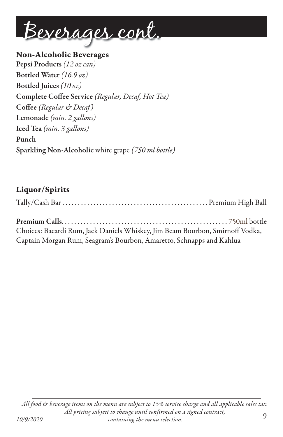

Non-Alcoholic Beverages Pepsi Products *(12 oz can)* Bottled Water *(16.9 oz)* Bottled Juices *(10 oz)* Complete Coffee Service (Regular, Decaf, Hot Tea) Coffee (Regular & Decaf) Lemonade *(min. 2 gallons)* Iced Tea *(min. 3 gallons)* Punch Sparkling Non-Alcoholic white grape *(750 ml bottle)*

## Liquor/Spirits

| Choices: Bacardi Rum, Jack Daniels Whiskey, Jim Beam Bourbon, Smirnoff Vodka, |  |
|-------------------------------------------------------------------------------|--|
| Captain Morgan Rum, Seagram's Bourbon, Amaretto, Schnapps and Kahlua          |  |